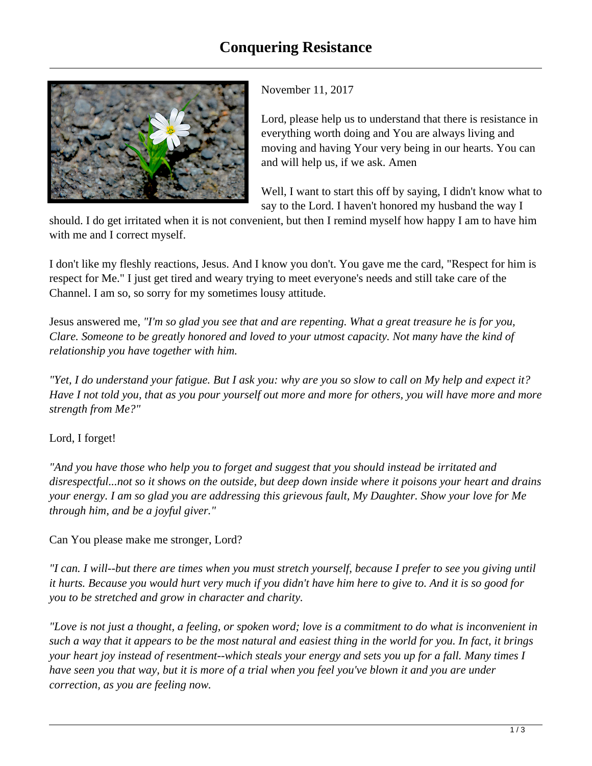

November 11, 2017

Lord, please help us to understand that there is resistance in everything worth doing and You are always living and moving and having Your very being in our hearts. You can and will help us, if we ask. Amen

Well, I want to start this off by saying, I didn't know what to say to the Lord. I haven't honored my husband the way I

should. I do get irritated when it is not convenient, but then I remind myself how happy I am to have him with me and I correct myself.

I don't like my fleshly reactions, Jesus. And I know you don't. You gave me the card, "Respect for him is respect for Me." I just get tired and weary trying to meet everyone's needs and still take care of the Channel. I am so, so sorry for my sometimes lousy attitude.

Jesus answered me, *"I'm so glad you see that and are repenting. What a great treasure he is for you, Clare. Someone to be greatly honored and loved to your utmost capacity. Not many have the kind of relationship you have together with him.*

*"Yet, I do understand your fatigue. But I ask you: why are you so slow to call on My help and expect it? Have I not told you, that as you pour yourself out more and more for others, you will have more and more strength from Me?"*

## Lord, I forget!

*"And you have those who help you to forget and suggest that you should instead be irritated and disrespectful...not so it shows on the outside, but deep down inside where it poisons your heart and drains your energy. I am so glad you are addressing this grievous fault, My Daughter. Show your love for Me through him, and be a joyful giver."*

Can You please make me stronger, Lord?

*"I can. I will--but there are times when you must stretch yourself, because I prefer to see you giving until it hurts. Because you would hurt very much if you didn't have him here to give to. And it is so good for you to be stretched and grow in character and charity.* 

*"Love is not just a thought, a feeling, or spoken word; love is a commitment to do what is inconvenient in such a way that it appears to be the most natural and easiest thing in the world for you. In fact, it brings your heart joy instead of resentment--which steals your energy and sets you up for a fall. Many times I have seen you that way, but it is more of a trial when you feel you've blown it and you are under correction, as you are feeling now.*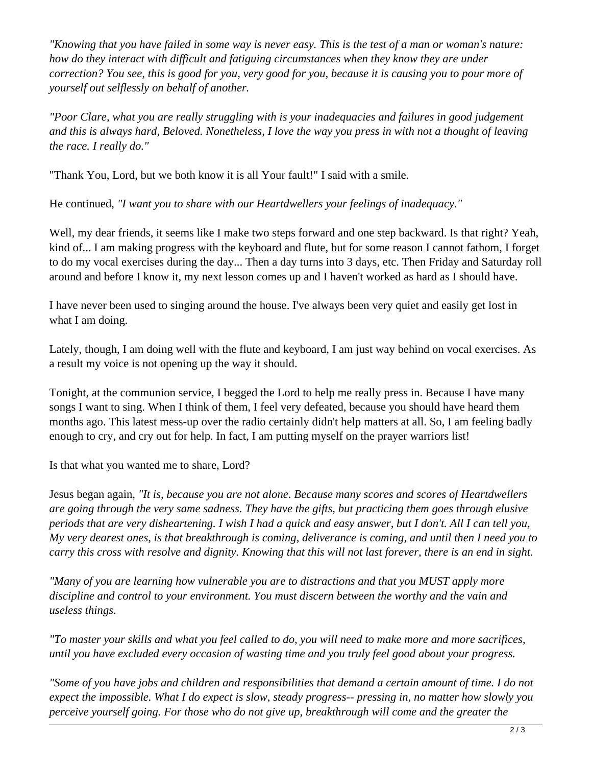*"Knowing that you have failed in some way is never easy. This is the test of a man or woman's nature: how do they interact with difficult and fatiguing circumstances when they know they are under correction? You see, this is good for you, very good for you, because it is causing you to pour more of yourself out selflessly on behalf of another.* 

*"Poor Clare, what you are really struggling with is your inadequacies and failures in good judgement and this is always hard, Beloved. Nonetheless, I love the way you press in with not a thought of leaving the race. I really do."* 

"Thank You, Lord, but we both know it is all Your fault!" I said with a smile.

He continued, *"I want you to share with our Heartdwellers your feelings of inadequacy."*

Well, my dear friends, it seems like I make two steps forward and one step backward. Is that right? Yeah, kind of... I am making progress with the keyboard and flute, but for some reason I cannot fathom, I forget to do my vocal exercises during the day... Then a day turns into 3 days, etc. Then Friday and Saturday roll around and before I know it, my next lesson comes up and I haven't worked as hard as I should have.

I have never been used to singing around the house. I've always been very quiet and easily get lost in what I am doing.

Lately, though, I am doing well with the flute and keyboard, I am just way behind on vocal exercises. As a result my voice is not opening up the way it should.

Tonight, at the communion service, I begged the Lord to help me really press in. Because I have many songs I want to sing. When I think of them, I feel very defeated, because you should have heard them months ago. This latest mess-up over the radio certainly didn't help matters at all. So, I am feeling badly enough to cry, and cry out for help. In fact, I am putting myself on the prayer warriors list!

Is that what you wanted me to share, Lord?

Jesus began again, *"It is, because you are not alone. Because many scores and scores of Heartdwellers are going through the very same sadness. They have the gifts, but practicing them goes through elusive periods that are very disheartening. I wish I had a quick and easy answer, but I don't. All I can tell you, My very dearest ones, is that breakthrough is coming, deliverance is coming, and until then I need you to carry this cross with resolve and dignity. Knowing that this will not last forever, there is an end in sight.*

*"Many of you are learning how vulnerable you are to distractions and that you MUST apply more discipline and control to your environment. You must discern between the worthy and the vain and useless things.* 

*"To master your skills and what you feel called to do, you will need to make more and more sacrifices, until you have excluded every occasion of wasting time and you truly feel good about your progress.* 

*"Some of you have jobs and children and responsibilities that demand a certain amount of time. I do not expect the impossible. What I do expect is slow, steady progress-- pressing in, no matter how slowly you perceive yourself going. For those who do not give up, breakthrough will come and the greater the*